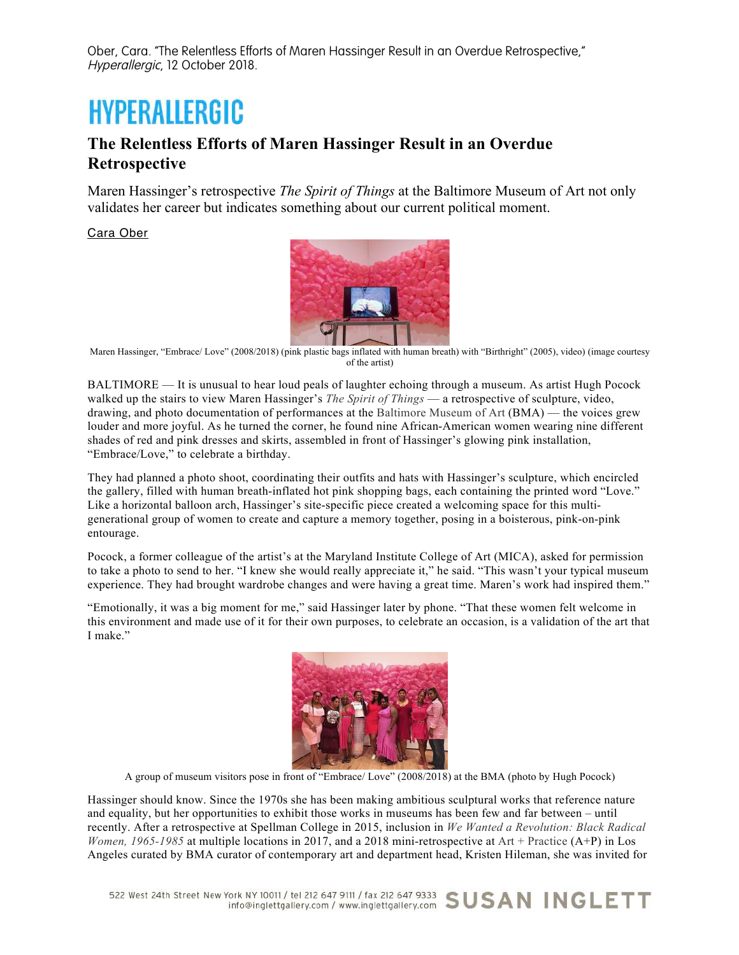## **HYPERALLERGIC**

## **The Relentless Efforts of Maren Hassinger Result in an Overdue Retrospective**

Maren Hassinger's retrospective *The Spirit of Things* at the Baltimore Museum of Art not only validates her career but indicates something about our current political moment.

Cara Ober



Maren Hassinger, "Embrace/ Love" (2008/2018) (pink plastic bags inflated with human breath) with "Birthright" (2005), video) (image courtesy of the artist)

BALTIMORE — It is unusual to hear loud peals of laughter echoing through a museum. As artist Hugh Pocock walked up the stairs to view Maren Hassinger's *The Spirit of Things* — a retrospective of sculpture, video, drawing, and photo documentation of performances at the Baltimore Museum of Art (BMA) — the voices grew louder and more joyful. As he turned the corner, he found nine African-American women wearing nine different shades of red and pink dresses and skirts, assembled in front of Hassinger's glowing pink installation, "Embrace/Love," to celebrate a birthday.

They had planned a photo shoot, coordinating their outfits and hats with Hassinger's sculpture, which encircled the gallery, filled with human breath-inflated hot pink shopping bags, each containing the printed word "Love." Like a horizontal balloon arch, Hassinger's site-specific piece created a welcoming space for this multigenerational group of women to create and capture a memory together, posing in a boisterous, pink-on-pink entourage.

Pocock, a former colleague of the artist's at the Maryland Institute College of Art (MICA), asked for permission to take a photo to send to her. "I knew she would really appreciate it," he said. "This wasn't your typical museum experience. They had brought wardrobe changes and were having a great time. Maren's work had inspired them."

"Emotionally, it was a big moment for me," said Hassinger later by phone. "That these women felt welcome in this environment and made use of it for their own purposes, to celebrate an occasion, is a validation of the art that I make."



A group of museum visitors pose in front of "Embrace/ Love" (2008/2018) at the BMA (photo by Hugh Pocock)

Hassinger should know. Since the 1970s she has been making ambitious sculptural works that reference nature and equality, but her opportunities to exhibit those works in museums has been few and far between – until recently. After a retrospective at Spellman College in 2015, inclusion in *We Wanted a Revolution: Black Radical Women, 1965-1985* at multiple locations in 2017, and a 2018 mini-retrospective at Art + Practice (A+P) in Los Angeles curated by BMA curator of contemporary art and department head, Kristen Hileman, she was invited for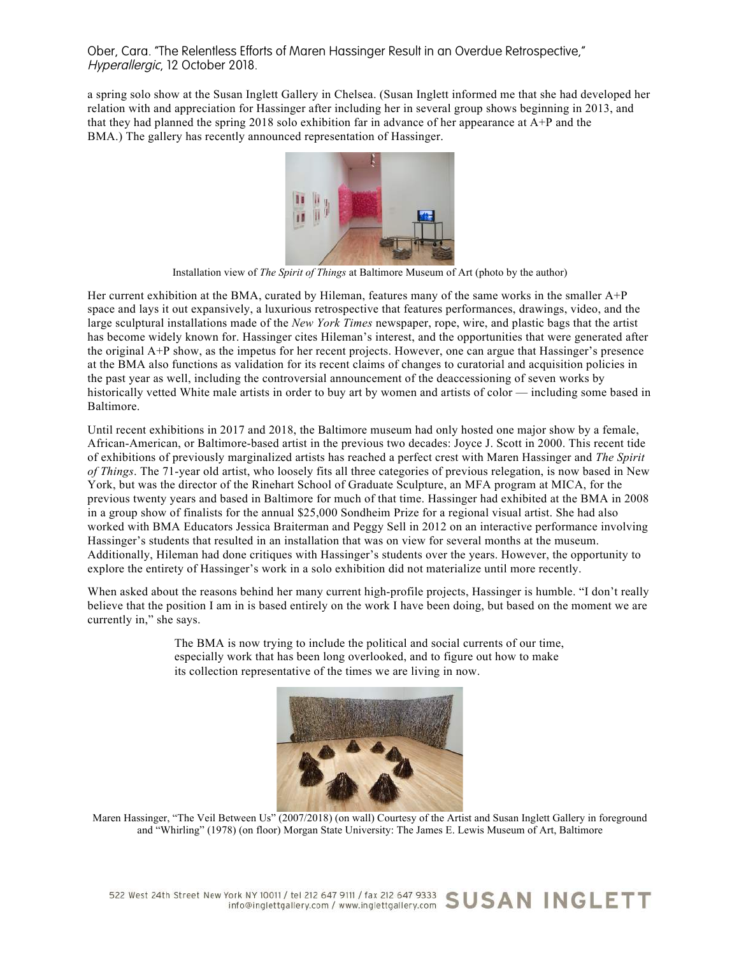a spring solo show at the Susan Inglett Gallery in Chelsea. (Susan Inglett informed me that she had developed her relation with and appreciation for Hassinger after including her in several group shows beginning in 2013, and that they had planned the spring 2018 solo exhibition far in advance of her appearance at A+P and the BMA.) The gallery has recently announced representation of Hassinger.



Installation view of *The Spirit of Things* at Baltimore Museum of Art (photo by the author)

Her current exhibition at the BMA, curated by Hileman, features many of the same works in the smaller A+P space and lays it out expansively, a luxurious retrospective that features performances, drawings, video, and the large sculptural installations made of the *New York Times* newspaper, rope, wire, and plastic bags that the artist has become widely known for. Hassinger cites Hileman's interest, and the opportunities that were generated after the original A+P show, as the impetus for her recent projects. However, one can argue that Hassinger's presence at the BMA also functions as validation for its recent claims of changes to curatorial and acquisition policies in the past year as well, including the controversial announcement of the deaccessioning of seven works by historically vetted White male artists in order to buy art by women and artists of color — including some based in Baltimore.

Until recent exhibitions in 2017 and 2018, the Baltimore museum had only hosted one major show by a female, African-American, or Baltimore-based artist in the previous two decades: Joyce J. Scott in 2000. This recent tide of exhibitions of previously marginalized artists has reached a perfect crest with Maren Hassinger and *The Spirit of Things*. The 71-year old artist, who loosely fits all three categories of previous relegation, is now based in New York, but was the director of the Rinehart School of Graduate Sculpture, an MFA program at MICA, for the previous twenty years and based in Baltimore for much of that time. Hassinger had exhibited at the BMA in 2008 in a group show of finalists for the annual \$25,000 Sondheim Prize for a regional visual artist. She had also worked with BMA Educators Jessica Braiterman and Peggy Sell in 2012 on an interactive performance involving Hassinger's students that resulted in an installation that was on view for several months at the museum. Additionally, Hileman had done critiques with Hassinger's students over the years. However, the opportunity to explore the entirety of Hassinger's work in a solo exhibition did not materialize until more recently.

When asked about the reasons behind her many current high-profile projects, Hassinger is humble. "I don't really believe that the position I am in is based entirely on the work I have been doing, but based on the moment we are currently in," she says.

> The BMA is now trying to include the political and social currents of our time, especially work that has been long overlooked, and to figure out how to make its collection representative of the times we are living in now.



Maren Hassinger, "The Veil Between Us" (2007/2018) (on wall) Courtesy of the Artist and Susan Inglett Gallery in foreground and "Whirling" (1978) (on floor) Morgan State University: The James E. Lewis Museum of Art, Baltimore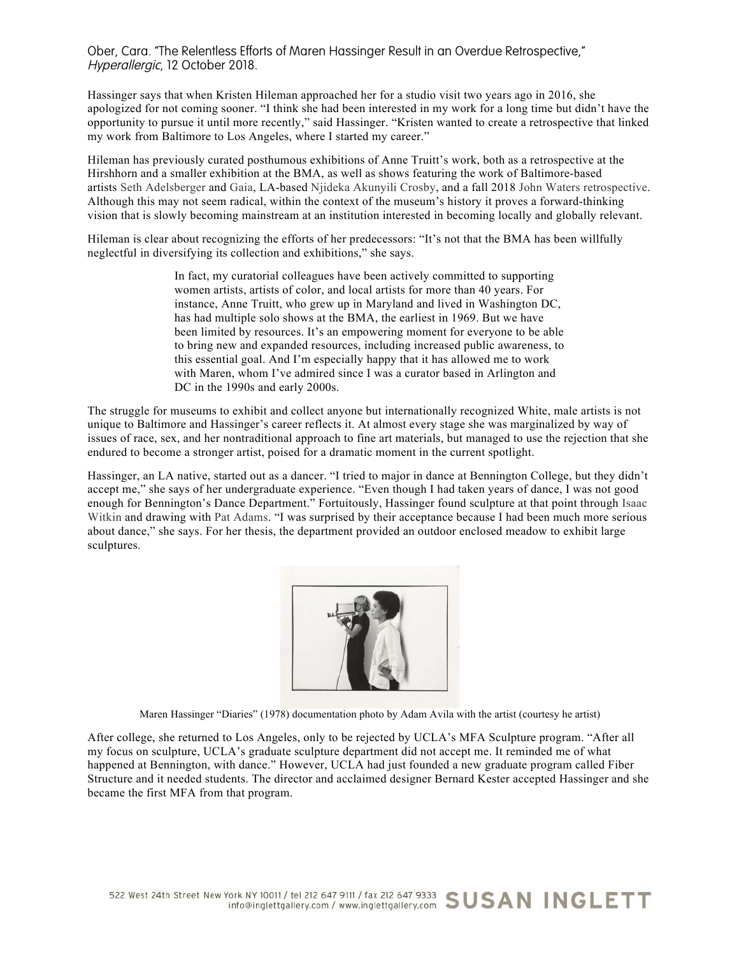Hassinger says that when Kristen Hileman approached her for a studio visit two years ago in 2016, she apologized for not coming sooner. "I think she had been interested in my work for a long time but didn't have the opportunity to pursue it until more recently," said Hassinger. "Kristen wanted to create a retrospective that linked my work from Baltimore to Los Angeles, where I started my career."

Hileman has previously curated posthumous exhibitions of Anne Truitt's work, both as a retrospective at the Hirshhorn and a smaller exhibition at the BMA, as well as shows featuring the work of Baltimore-based artists Seth Adelsberger and Gaia, LA-based Njideka Akunyili Crosby, and a fall 2018 John Waters retrospective. Although this may not seem radical, within the context of the museum's history it proves a forward-thinking vision that is slowly becoming mainstream at an institution interested in becoming locally and globally relevant.

Hileman is clear about recognizing the efforts of her predecessors: "It's not that the BMA has been willfully neglectful in diversifying its collection and exhibitions," she says.

> In fact, my curatorial colleagues have been actively committed to supporting women artists, artists of color, and local artists for more than 40 years. For instance, Anne Truitt, who grew up in Maryland and lived in Washington DC, has had multiple solo shows at the BMA, the earliest in 1969. But we have been limited by resources. It's an empowering moment for everyone to be able to bring new and expanded resources, including increased public awareness, to this essential goal. And I'm especially happy that it has allowed me to work with Maren, whom I've admired since I was a curator based in Arlington and DC in the 1990s and early 2000s.

The struggle for museums to exhibit and collect anyone but internationally recognized White, male artists is not unique to Baltimore and Hassinger's career reflects it. At almost every stage she was marginalized by way of issues of race, sex, and her nontraditional approach to fine art materials, but managed to use the rejection that she endured to become a stronger artist, poised for a dramatic moment in the current spotlight.

Hassinger, an LA native, started out as a dancer. "I tried to major in dance at Bennington College, but they didn't accept me," she says of her undergraduate experience. "Even though I had taken years of dance, I was not good enough for Bennington's Dance Department." Fortuitously, Hassinger found sculpture at that point through Isaac Witkin and drawing with Pat Adams. "I was surprised by their acceptance because I had been much more serious about dance," she says. For her thesis, the department provided an outdoor enclosed meadow to exhibit large sculptures.



Maren Hassinger "Diaries" (1978) documentation photo by Adam Avila with the artist (courtesy he artist)

After college, she returned to Los Angeles, only to be rejected by UCLA's MFA Sculpture program. "After all my focus on sculpture, UCLA's graduate sculpture department did not accept me. It reminded me of what happened at Bennington, with dance." However, UCLA had just founded a new graduate program called Fiber Structure and it needed students. The director and acclaimed designer Bernard Kester accepted Hassinger and she became the first MFA from that program.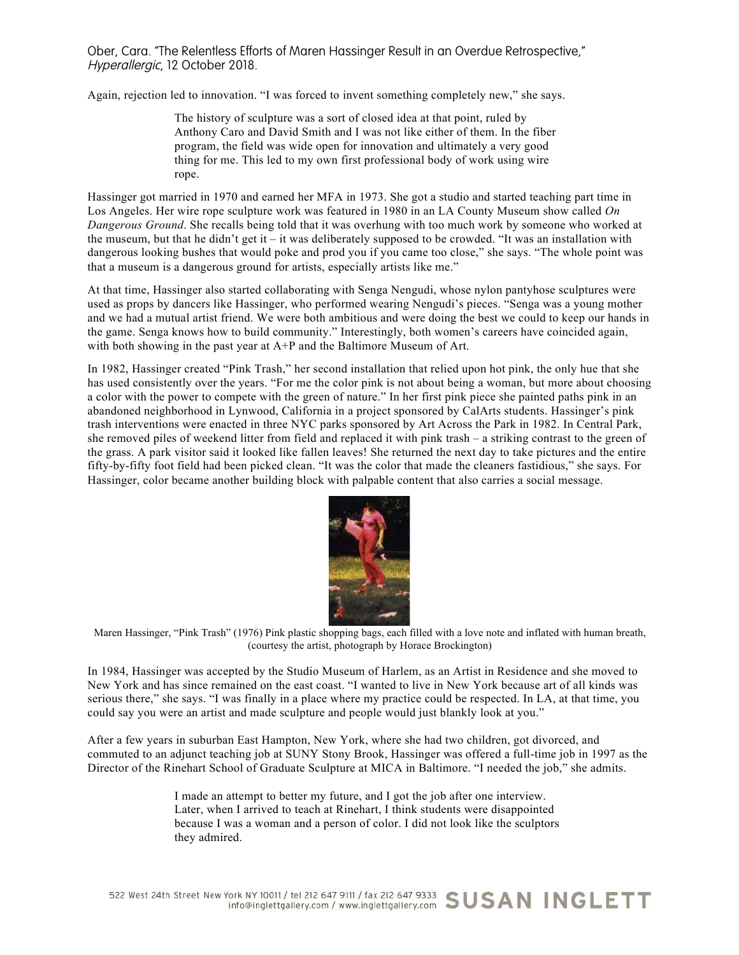Again, rejection led to innovation. "I was forced to invent something completely new," she says.

The history of sculpture was a sort of closed idea at that point, ruled by Anthony Caro and David Smith and I was not like either of them. In the fiber program, the field was wide open for innovation and ultimately a very good thing for me. This led to my own first professional body of work using wire rope.

Hassinger got married in 1970 and earned her MFA in 1973. She got a studio and started teaching part time in Los Angeles. Her wire rope sculpture work was featured in 1980 in an LA County Museum show called *On Dangerous Ground*. She recalls being told that it was overhung with too much work by someone who worked at the museum, but that he didn't get it – it was deliberately supposed to be crowded. "It was an installation with dangerous looking bushes that would poke and prod you if you came too close," she says. "The whole point was that a museum is a dangerous ground for artists, especially artists like me."

At that time, Hassinger also started collaborating with Senga Nengudi, whose nylon pantyhose sculptures were used as props by dancers like Hassinger, who performed wearing Nengudi's pieces. "Senga was a young mother and we had a mutual artist friend. We were both ambitious and were doing the best we could to keep our hands in the game. Senga knows how to build community." Interestingly, both women's careers have coincided again, with both showing in the past year at A+P and the Baltimore Museum of Art.

In 1982, Hassinger created "Pink Trash," her second installation that relied upon hot pink, the only hue that she has used consistently over the years. "For me the color pink is not about being a woman, but more about choosing a color with the power to compete with the green of nature." In her first pink piece she painted paths pink in an abandoned neighborhood in Lynwood, California in a project sponsored by CalArts students. Hassinger's pink trash interventions were enacted in three NYC parks sponsored by Art Across the Park in 1982. In Central Park, she removed piles of weekend litter from field and replaced it with pink trash – a striking contrast to the green of the grass. A park visitor said it looked like fallen leaves! She returned the next day to take pictures and the entire fifty-by-fifty foot field had been picked clean. "It was the color that made the cleaners fastidious," she says. For Hassinger, color became another building block with palpable content that also carries a social message.



Maren Hassinger, "Pink Trash" (1976) Pink plastic shopping bags, each filled with a love note and inflated with human breath, (courtesy the artist, photograph by Horace Brockington)

In 1984, Hassinger was accepted by the Studio Museum of Harlem, as an Artist in Residence and she moved to New York and has since remained on the east coast. "I wanted to live in New York because art of all kinds was serious there," she says. "I was finally in a place where my practice could be respected. In LA, at that time, you could say you were an artist and made sculpture and people would just blankly look at you."

After a few years in suburban East Hampton, New York, where she had two children, got divorced, and commuted to an adjunct teaching job at SUNY Stony Brook, Hassinger was offered a full-time job in 1997 as the Director of the Rinehart School of Graduate Sculpture at MICA in Baltimore. "I needed the job," she admits.

> I made an attempt to better my future, and I got the job after one interview. Later, when I arrived to teach at Rinehart, I think students were disappointed because I was a woman and a person of color. I did not look like the sculptors they admired.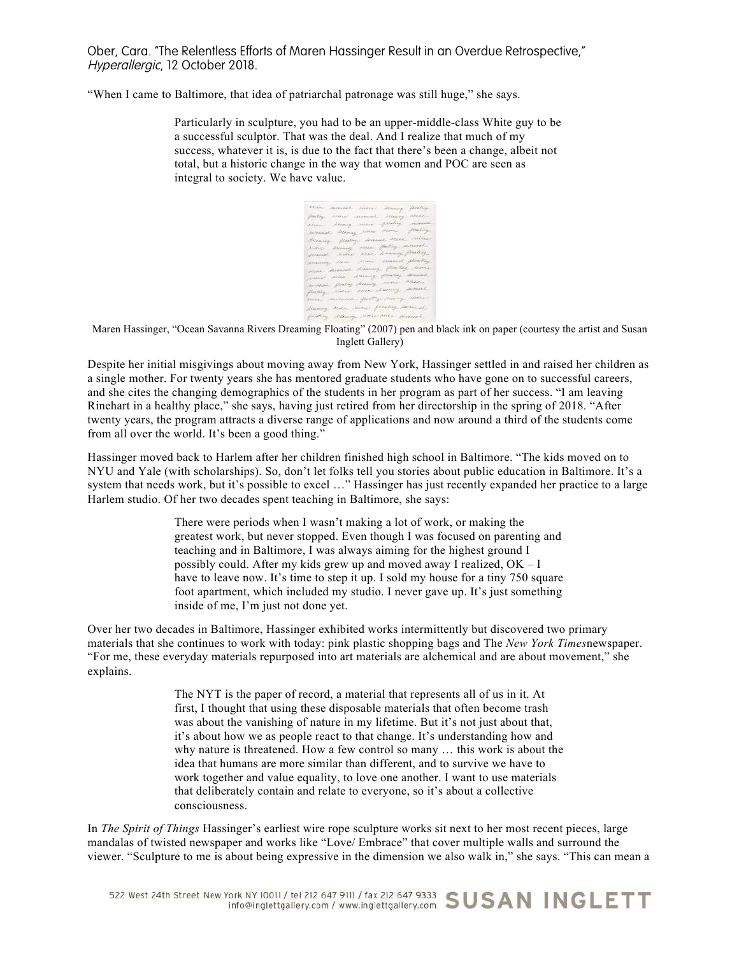"When I came to Baltimore, that idea of patriarchal patronage was still huge," she says.

Particularly in sculpture, you had to be an upper-middle-class White guy to be a successful sculptor. That was the deal. And I realize that much of my success, whatever it is, is due to the fact that there's been a change, albeit not total, but a historic change in the way that women and POC are seen as integral to society. We have value.

| Etter          | $\label{eq:constr} A\mapsto \star A\leftarrow \; ,\; \forall\, \forall\, \forall\, \lambda\in \mathcal{C}$ |                                                                                                                                                                                                                                                                                                                                                                                                                                                                                                              | Manag                       | flexing          |
|----------------|------------------------------------------------------------------------------------------------------------|--------------------------------------------------------------------------------------------------------------------------------------------------------------------------------------------------------------------------------------------------------------------------------------------------------------------------------------------------------------------------------------------------------------------------------------------------------------------------------------------------------------|-----------------------------|------------------|
| postry         | <b>Alexandro Stevensk</b>                                                                                  |                                                                                                                                                                                                                                                                                                                                                                                                                                                                                                              | 20coming.                   | Access.          |
| pean-          | showing, picture                                                                                           |                                                                                                                                                                                                                                                                                                                                                                                                                                                                                                              | puntoj vermit               |                  |
| dependent      |                                                                                                            | Attince Arme                                                                                                                                                                                                                                                                                                                                                                                                                                                                                                 | down.                       | proting          |
| Bilamooy       | flexting.                                                                                                  |                                                                                                                                                                                                                                                                                                                                                                                                                                                                                                              | Married aller               | <b>Metro</b>     |
| Annual.        | Discourg.                                                                                                  | millen-                                                                                                                                                                                                                                                                                                                                                                                                                                                                                                      | for the p                   | <i>ARCTICKAN</i> |
| <b>JARANAK</b> | <b>Alama</b>                                                                                               | string.                                                                                                                                                                                                                                                                                                                                                                                                                                                                                                      | Livening Realing            |                  |
| dicaming,      | increa-                                                                                                    | $\label{eq:1} \begin{array}{l} \mathcal{M} \left( \mathcal{M} \right) = \mathcal{N} \left( \mathcal{M} \right) \left( \mathcal{M} \right) = \mathcal{N} \left( \mathcal{M} \right) \left( \mathcal{M} \right) \left( \mathcal{M} \right) \left( \mathcal{M} \right) \left( \mathcal{M} \right) \left( \mathcal{M} \right) \left( \mathcal{M} \right) \left( \mathcal{M} \right) \left( \mathcal{M} \right) \left( \mathcal{M} \right) \left( \mathcal{M} \right) \left( \mathcal{M} \right) \left( \mathcal$ | comuni                      | Allen Corp       |
| <b>ABBA</b>    | distant.                                                                                                   | Lissing                                                                                                                                                                                                                                                                                                                                                                                                                                                                                                      |                             | flocking women   |
| American       | ditanc.                                                                                                    | Ellenwing                                                                                                                                                                                                                                                                                                                                                                                                                                                                                                    | flowing second              |                  |
| ancorado       | genery                                                                                                     | parang                                                                                                                                                                                                                                                                                                                                                                                                                                                                                                       | Stress Attes                |                  |
| plensing.      | Aletak                                                                                                     |                                                                                                                                                                                                                                                                                                                                                                                                                                                                                                              | one dancy sound             |                  |
| mai            | moneed                                                                                                     |                                                                                                                                                                                                                                                                                                                                                                                                                                                                                                              | derling descrip lines       |                  |
| Assorting.     | <b>Richard</b>                                                                                             |                                                                                                                                                                                                                                                                                                                                                                                                                                                                                                              | area ferely want            |                  |
| platting       |                                                                                                            |                                                                                                                                                                                                                                                                                                                                                                                                                                                                                                              | drawing secret were shinned |                  |

Maren Hassinger, "Ocean Savanna Rivers Dreaming Floating" (2007) pen and black ink on paper (courtesy the artist and Susan Inglett Gallery)

Despite her initial misgivings about moving away from New York, Hassinger settled in and raised her children as a single mother. For twenty years she has mentored graduate students who have gone on to successful careers, and she cites the changing demographics of the students in her program as part of her success. "I am leaving Rinehart in a healthy place," she says, having just retired from her directorship in the spring of 2018. "After twenty years, the program attracts a diverse range of applications and now around a third of the students come from all over the world. It's been a good thing."

Hassinger moved back to Harlem after her children finished high school in Baltimore. "The kids moved on to NYU and Yale (with scholarships). So, don't let folks tell you stories about public education in Baltimore. It's a system that needs work, but it's possible to excel …" Hassinger has just recently expanded her practice to a large Harlem studio. Of her two decades spent teaching in Baltimore, she says:

> There were periods when I wasn't making a lot of work, or making the greatest work, but never stopped. Even though I was focused on parenting and teaching and in Baltimore, I was always aiming for the highest ground I possibly could. After my kids grew up and moved away I realized, OK – I have to leave now. It's time to step it up. I sold my house for a tiny 750 square foot apartment, which included my studio. I never gave up. It's just something inside of me, I'm just not done yet.

Over her two decades in Baltimore, Hassinger exhibited works intermittently but discovered two primary materials that she continues to work with today: pink plastic shopping bags and The *New York Times*newspaper. "For me, these everyday materials repurposed into art materials are alchemical and are about movement," she explains.

> The NYT is the paper of record, a material that represents all of us in it. At first, I thought that using these disposable materials that often become trash was about the vanishing of nature in my lifetime. But it's not just about that, it's about how we as people react to that change. It's understanding how and why nature is threatened. How a few control so many … this work is about the idea that humans are more similar than different, and to survive we have to work together and value equality, to love one another. I want to use materials that deliberately contain and relate to everyone, so it's about a collective consciousness.

In *The Spirit of Things* Hassinger's earliest wire rope sculpture works sit next to her most recent pieces, large mandalas of twisted newspaper and works like "Love/ Embrace" that cover multiple walls and surround the viewer. "Sculpture to me is about being expressive in the dimension we also walk in," she says. "This can mean a